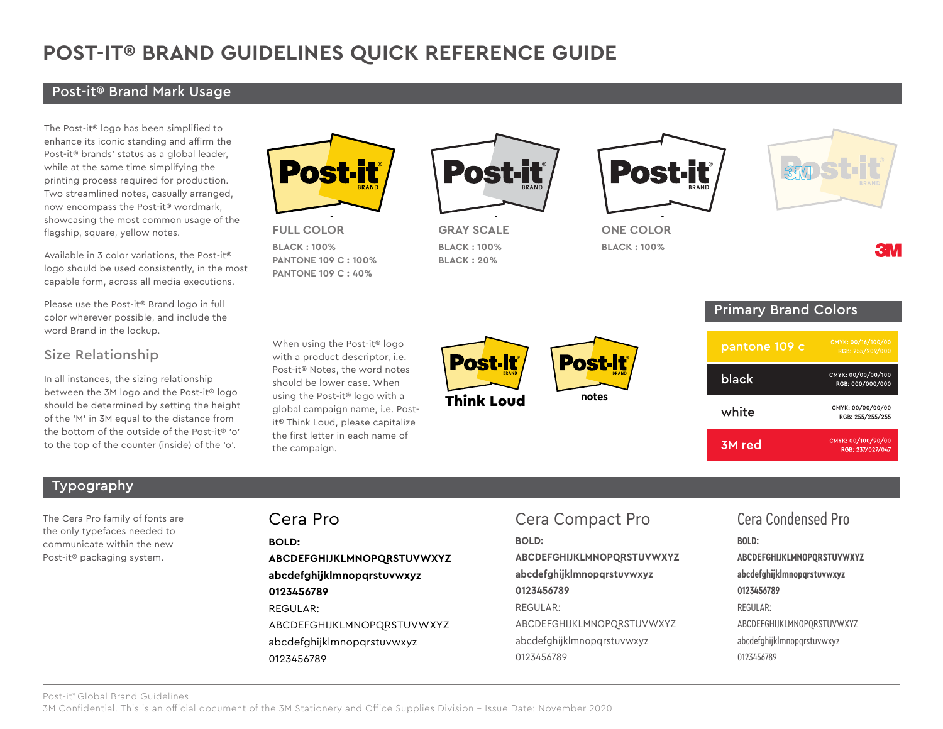# **POST-IT® BRAND GUIDELINES QUICK REFERENCE GUIDE**

#### Post-it® Brand Mark Usage

The Post-it® logo has been simplified to enhance its iconic standing and affirm the Post-it® brands' status as a global leader, while at the same time simplifying the printing process required for production. Two streamlined notes, casually arranged, now encompass the Post-it® wordmark, showcasing the most common usage of the flagship, square, yellow notes.

Available in 3 color variations, the Post-it® logo should be used consistently, in the most capable form, across all media executions.

Please use the Post-it® Brand logo in full color wherever possible, and include the word Brand in the lockup.

#### Size Relationship

In all instances, the sizing relationship between the 3M logo and the Post-it® logo should be determined by setting the height of the 'M' in 3M equal to the distance from the bottom of the outside of the Post-it® 'o' to the top of the counter (inside) of the 'o'.



**notes FULL COLOR BLACK : 100%**

**PANTONE 109 C : 100% PANTONE 109 C : 40%**

When using the Post-it® logo with a product descriptor, i.e. Post-it® Notes, the word notes should be lower case. When using the Post-it® logo with a global campaign name, i.e. Postit® Think Loud, please capitalize the first letter in each name of



**GRAY SCALE BLACK : 100% BLACK : 20%**

Think Loud

**Post-it** 



**notes**<br> **SCALE ONE COLOR BLACK : 100%**



Primary Brand Colors pantone 109 c CMYK: 00/00/00/100 black RGB: 000/000/000 CMYK: 00/00/00/00 white RGB: 255/255/255 CMYK: 00/100/90/00 3M red RGB: 237/027/047

#### Typography

The Cera Pro family of fonts are the only typefaces needed to communicate within the new Post-it® packaging system.

the campaign.

**BOLD: ABCDEFGHIJKLMNOPQRSTUVWXYZ abcdefghijklmnopqrstuvwxyz 0123456789** REGULAR: ABCDEFGHIJKLMNOPQRSTUVWXYZ abcdefghijklmnopqrstuvwxyz 0123456789

## Cera Pro Cera Compact Pro Cera Condensed Pro

**notes**

**Post-il** 

**BOLD: ABCDEFGHIJKLMNOPQRSTUVWXYZ abcdefghijklmnopqrstuvwxyz 0123456789** REGULAR: ABCDEFGHIJKLMNOPQRSTUVWXYZ abcdefghijklmnopqrstuvwxyz 0123456789

## **BOLD: ABCDEFGHIJKLMNOPQRSTUVWXYZ abcdefghijklmnopqrstuvwxyz 0123456789** REGULAR: ABCDEFGHIJKLMNOPQRSTUVWXYZ abcdefghijklmnopqrstuvwxyz 0123456789